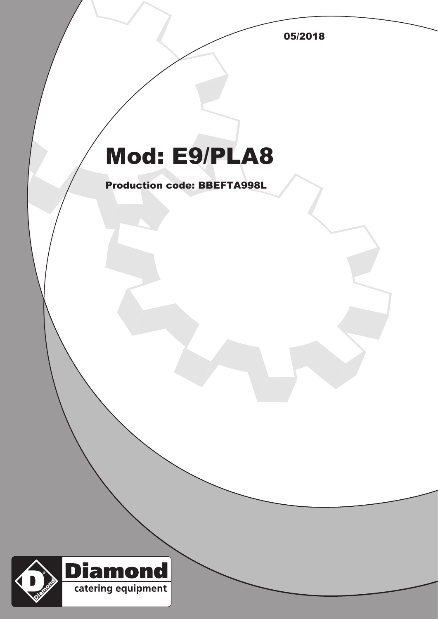05/2018

## Mod: E9/PLA8

Production code: BBEFTA998L